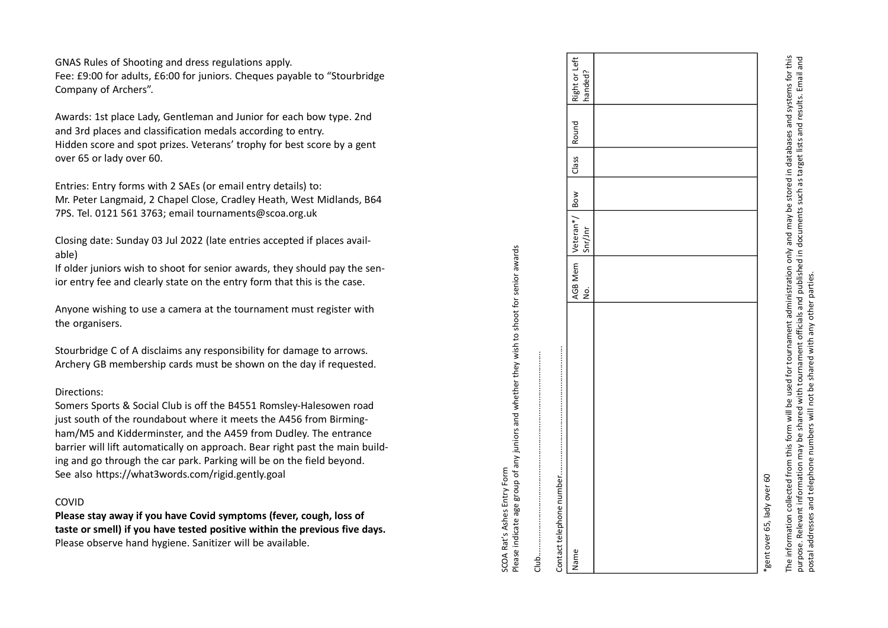GNAS Rules of Shooting and dress regulations apply. Fee: £9:00 for adults, £6:00 for juniors. Cheques payable to "Stourbridge

Company of Archers".

Awards: 1st place Lady, Gentleman and Junior for each bow type. 2nd and 3rd places and classification medals according to entry. Hidden score and spot prizes. Veterans' trophy for best score by a gent over 65 or lady over 60.

Entries: Entry forms with 2 SAEs (or email entry details) to: Mr. Peter Langmaid, 2 Chapel Close, Cradley Heath, West Midlands, B64 7PS. Tel. 0121 561 3763; email tournaments@scoa.org.uk

Closing date: Sunday 03 Jul 2022 (late entries accepted if places available)

If older juniors wish to shoot for senior awards, they should pay the senior entry fee and clearly state on the entry form that this is the case.

Anyone wishing to use a camera at the tournament must register with the organisers.

Stourbridge C of A disclaims any responsibility for damage to arrows. Archery GB membership cards must be shown on the day if requested.

## Directions:

Somers Sports & Social Club is off the B4551 Romsley-Halesowen road just south of the roundabout where it meets the A456 from Birmingham/M5 and Kidderminster, and the A459 from Dudley. The entrance barrier will lift automatically on approach. Bear right past the main building and go through the car park. Parking will be on the field beyond. See also https://what3words.com/rigid.gently.goal

## COVID

Please stay away if you have Covid symptoms (fever, cough, loss of taste or smell) if you have tested positive within the previous five days.